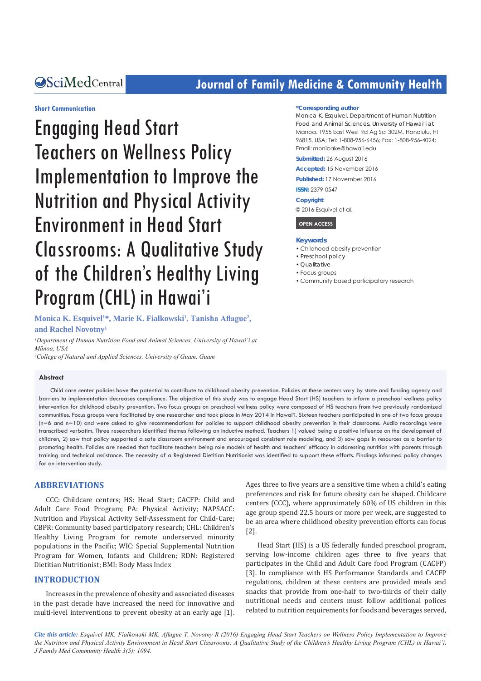# **CALCERT CONFIDENTIAL CONTROLLER COMMUNITY Health**

#### **Short Communication**

Engaging Head Start Teachers on Wellness Policy Implementation to Improve the Nutrition and Physical Activity Environment in Head Start Classrooms: A Qualitative Study of the Children's Healthy Living Program (CHL) in Hawai'i

#### **\*Corresponding author**

Monica K. Esquivel, Department of Human Nutrition Food and Animal Sciences, University of Hawai'i at Mānoa, 1955 East West Rd Ag Sci 302M, Honolulu, HI 96815, USA; Tel: 1-808-956-6456; Fax: 1-808-956-4024; Email: monicake@hawaii edu

**Submitted:** 26 August 2016

#### **Accepted:** 15 November 2016

**Published:** 17 November 2016

**ISSN:** 2379-0547

#### **Copyright**

© 2016 Esquivel et al.

# **OPEN ACCESS**

#### **Keywords**

- Childhood obesity prevention
- Preschool policy
- Qualitative
- Focus groups
- Community based participatory research

Monica K. Esquivel<sup>1\*</sup>, Marie K. Fialkowski<sup>1</sup>, Tanisha Aflague<sup>2</sup>, **and Rachel Novotny1**

<sup>1</sup>Department of Human Nutrition Food and Animal Sciences, University of Hawai'i at *Mānoa, USA*

*2 College of Natural and Applied Sciences, University of Guam, Guam*

#### **Abstract**

Child care center policies have the potential to contribute to childhood obesity prevention. Policies at these centers vary by state and funding agency and barriers to implementation decreases compliance. The objective of this study was to engage Head Start (HS) teachers to inform a preschool wellness policy intervention for childhood obesity prevention. Two focus groups on preschool wellness policy were composed of HS teachers from two previously randomized communities. Focus groups were facilitated by one researcher and took place in May 2014 in Hawai'i. Sixteen teachers participated in one of two focus groups (n=6 and n=10) and were asked to give recommendations for policies to support childhood obesity prevention in their classrooms. Audio recordings were transcribed verbatim. Three researchers identified themes following an inductive method. Teachers 1) valued being a positive influence on the development of children, 2) saw that policy supported a safe classroom environment and encouraged consistent role modeling, and 3) saw gaps in resources as a barrier to promoting health. Policies are needed that facilitate teachers being role models of health and teachers' efficacy in addressing nutrition with parents through training and technical assistance. The necessity of a Registered Dietitian Nutritionist was identified to support these efforts. Findings informed policy changes for an intervention study.

# **ABBREVIATIONS**

CCC: Childcare centers; HS: Head Start; CACFP: Child and Adult Care Food Program; PA: Physical Activity; NAPSACC: Nutrition and Physical Activity Self-Assessment for Child-Care; CBPR: Community based participatory research; CHL: Children's Healthy Living Program for remote underserved minority populations in the Pacific; WIC: Special Supplemental Nutrition Program for Women, Infants and Children; RDN: Registered Dietitian Nutritionist; BMI: Body Mass Index

#### **INTRODUCTION**

Increases in the prevalence of obesity and associated diseases in the past decade have increased the need for innovative and multi-level interventions to prevent obesity at an early age [1]. Ages three to five years are a sensitive time when a child's eating preferences and risk for future obesity can be shaped. Childcare centers (CCC), where approximately 60% of US children in this age group spend 22.5 hours or more per week, are suggested to be an area where childhood obesity prevention efforts can focus [2].

Head Start (HS) is a US federally funded preschool program, serving low-income children ages three to five years that participates in the Child and Adult Care food Program (CACFP) [3]. In compliance with HS Performance Standards and CACFP regulations, children at these centers are provided meals and snacks that provide from one-half to two-thirds of their daily nutritional needs and centers must follow additional polices related to nutrition requirements for foods and beverages served,

*Cite this article: Esquivel MK, Fialkowski MK, Aflague T, Novotny R (2016) Engaging Head Start Teachers on Wellness Policy Implementation to Improve the Nutrition and Physical Activity Environment in Head Start Classrooms: A Qualitative Study of the Children's Healthy Living Program (CHL) in Hawai'i. J Family Med Community Health 3(5): 1094.*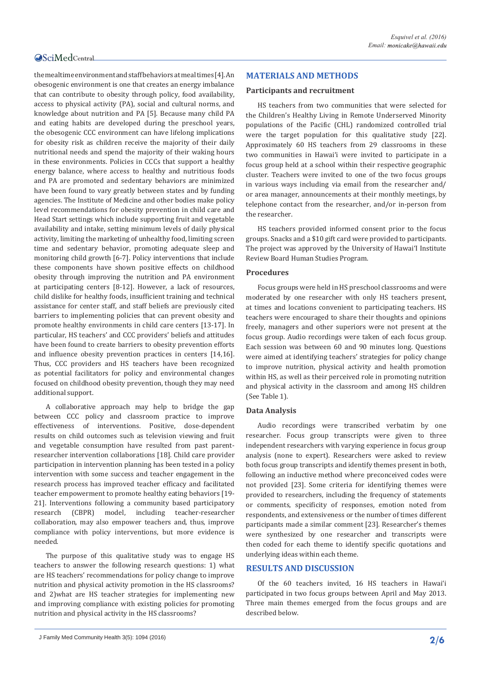the mealtime environment and staff behaviors at meal times [4]. An obesogenic environment is one that creates an energy imbalance that can contribute to obesity through policy, food availability, access to physical activity (PA), social and cultural norms, and knowledge about nutrition and PA [5]. Because many child PA and eating habits are developed during the preschool years, the obesogenic CCC environment can have lifelong implications for obesity risk as children receive the majority of their daily nutritional needs and spend the majority of their waking hours in these environments. Policies in CCCs that support a healthy energy balance, where access to healthy and nutritious foods and PA are promoted and sedentary behaviors are minimized have been found to vary greatly between states and by funding agencies. The Institute of Medicine and other bodies make policy level recommendations for obesity prevention in child care and Head Start settings which include supporting fruit and vegetable availability and intake, setting minimum levels of daily physical activity, limiting the marketing of unhealthy food, limiting screen time and sedentary behavior, promoting adequate sleep and monitoring child growth [6-7]. Policy interventions that include these components have shown positive effects on childhood obesity through improving the nutrition and PA environment at participating centers [8-12]. However, a lack of resources, child dislike for healthy foods, insufficient training and technical assistance for center staff, and staff beliefs are previously cited barriers to implementing policies that can prevent obesity and promote healthy environments in child care centers [13-17]. In particular, HS teachers' and CCC providers' beliefs and attitudes have been found to create barriers to obesity prevention efforts and influence obesity prevention practices in centers [14,16]. Thus, CCC providers and HS teachers have been recognized as potential facilitators for policy and environmental changes focused on childhood obesity prevention, though they may need additional support.

A collaborative approach may help to bridge the gap between CCC policy and classroom practice to improve effectiveness of interventions. Positive, dose-dependent results on child outcomes such as television viewing and fruit and vegetable consumption have resulted from past parentresearcher intervention collaborations [18]. Child care provider participation in intervention planning has been tested in a policy intervention with some success and teacher engagement in the research process has improved teacher efficacy and facilitated teacher empowerment to promote healthy eating behaviors [19- 21]. Interventions following a community based participatory research (CBPR) model, including teacher-researcher research (CBPR) model, including teacher-researcher collaboration, may also empower teachers and, thus, improve compliance with policy interventions, but more evidence is needed.

The purpose of this qualitative study was to engage HS teachers to answer the following research questions: 1) what are HS teachers' recommendations for policy change to improve nutrition and physical activity promotion in the HS classrooms? and 2)what are HS teacher strategies for implementing new and improving compliance with existing policies for promoting nutrition and physical activity in the HS classrooms?

# **MATERIALS AND METHODS**

#### **Participants and recruitment**

HS teachers from two communities that were selected for the Children's Healthy Living in Remote Underserved Minority populations of the Pacific (CHL) randomized controlled trial were the target population for this qualitative study [22]. Approximately 60 HS teachers from 29 classrooms in these two communities in Hawaiʻi were invited to participate in a focus group held at a school within their respective geographic cluster. Teachers were invited to one of the two focus groups in various ways including via email from the researcher and/ or area manager, announcements at their monthly meetings, by telephone contact from the researcher, and/or in-person from the researcher.

HS teachers provided informed consent prior to the focus groups. Snacks and a \$10 gift card were provided to participants. The project was approved by the University of Hawai'I Institute Review Board Human Studies Program.

#### **Procedures**

Focus groups were held in HS preschool classrooms and were moderated by one researcher with only HS teachers present, at times and locations convenient to participating teachers. HS teachers were encouraged to share their thoughts and opinions freely, managers and other superiors were not present at the focus group. Audio recordings were taken of each focus group. Each session was between 60 and 90 minutes long. Questions were aimed at identifying teachers' strategies for policy change to improve nutrition, physical activity and health promotion within HS, as well as their perceived role in promoting nutrition and physical activity in the classroom and among HS children (See Table 1).

# **Data Analysis**

Audio recordings were transcribed verbatim by one researcher. Focus group transcripts were given to three independent researchers with varying experience in focus group analysis (none to expert). Researchers were asked to review both focus group transcripts and identify themes present in both, following an inductive method where preconceived codes were not provided [23]. Some criteria for identifying themes were provided to researchers, including the frequency of statements or comments, specificity of responses, emotion noted from respondents, and extensiveness or the number of times different participants made a similar comment [23]. Researcher's themes were synthesized by one researcher and transcripts were then coded for each theme to identify specific quotations and underlying ideas within each theme.

### **RESULTS AND DISCUSSION**

Of the 60 teachers invited, 16 HS teachers in Hawai'i participated in two focus groups between April and May 2013. Three main themes emerged from the focus groups and are described below.

J Family Med Community Health 3(5): 1094 (2016) **2/6**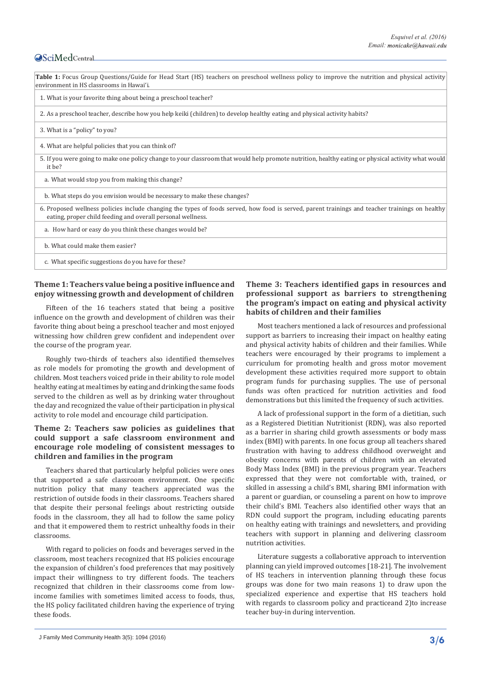# **OSciMedCentral**

# **Theme 1: Teachers value being a positive influence and enjoy witnessing growth and development of children**

Fifteen of the 16 teachers stated that being a positive influence on the growth and development of children was their favorite thing about being a preschool teacher and most enjoyed witnessing how children grew confident and independent over the course of the program year.

Roughly two-thirds of teachers also identified themselves as role models for promoting the growth and development of children. Most teachers voiced pride in their ability to role model healthy eating at meal times by eating and drinking the same foods served to the children as well as by drinking water throughout the day and recognized the value of their participation in physical activity to role model and encourage child participation.

# **Theme 2: Teachers saw policies as guidelines that could support a safe classroom environment and encourage role modeling of consistent messages to children and families in the program**

Teachers shared that particularly helpful policies were ones that supported a safe classroom environment. One specific nutrition policy that many teachers appreciated was the restriction of outside foods in their classrooms. Teachers shared that despite their personal feelings about restricting outside foods in the classroom, they all had to follow the same policy and that it empowered them to restrict unhealthy foods in their classrooms.

With regard to policies on foods and beverages served in the classroom, most teachers recognized that HS policies encourage the expansion of children's food preferences that may positively impact their willingness to try different foods. The teachers recognized that children in their classrooms come from lowincome families with sometimes limited access to foods, thus, the HS policy facilitated children having the experience of trying these foods.

# **Theme 3: Teachers identified gaps in resources and professional support as barriers to strengthening the program's impact on eating and physical activity habits of children and their families**

Most teachers mentioned a lack of resources and professional support as barriers to increasing their impact on healthy eating and physical activity habits of children and their families. While teachers were encouraged by their programs to implement a curriculum for promoting health and gross motor movement development these activities required more support to obtain program funds for purchasing supplies. The use of personal funds was often practiced for nutrition activities and food demonstrations but this limited the frequency of such activities.

A lack of professional support in the form of a dietitian, such as a Registered Dietitian Nutritionist (RDN), was also reported as a barrier in sharing child growth assessments or body mass index (BMI) with parents. In one focus group all teachers shared frustration with having to address childhood overweight and obesity concerns with parents of children with an elevated Body Mass Index (BMI) in the previous program year. Teachers expressed that they were not comfortable with, trained, or skilled in assessing a child's BMI, sharing BMI information with a parent or guardian, or counseling a parent on how to improve their child's BMI. Teachers also identified other ways that an RDN could support the program, including educating parents on healthy eating with trainings and newsletters, and providing teachers with support in planning and delivering classroom nutrition activities.

Literature suggests a collaborative approach to intervention planning can yield improved outcomes [18-21]. The involvement of HS teachers in intervention planning through these focus groups was done for two main reasons 1) to draw upon the specialized experience and expertise that HS teachers hold with regards to classroom policy and practiceand 2)to increase teacher buy-in during intervention.

J Family Med Community Health 3(5): 1094 (2016) **3/6**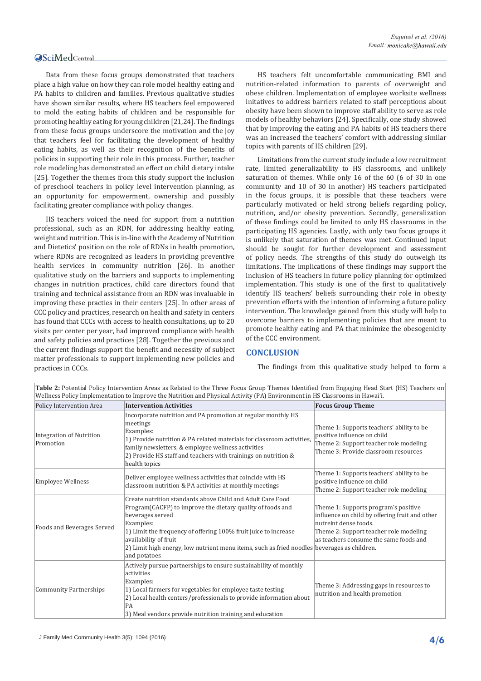Data from these focus groups demonstrated that teachers place a high value on how they can role model healthy eating and PA habits to children and families. Previous qualitative studies have shown similar results, where HS teachers feel empowered to mold the eating habits of children and be responsible for promoting healthy eating for young children [21,24]. The findings from these focus groups underscore the motivation and the joy that teachers feel for facilitating the development of healthy eating habits, as well as their recognition of the benefits of policies in supporting their role in this process. Further, teacher role modeling has demonstrated an effect on child dietary intake [25]. Together the themes from this study support the inclusion of preschool teachers in policy level intervention planning, as an opportunity for empowerment, ownership and possibly facilitating greater compliance with policy changes.

HS teachers voiced the need for support from a nutrition professional, such as an RDN, for addressing healthy eating, weight and nutrition. This is in-line with the Academy of Nutrition and Dietetics' position on the role of RDNs in health promotion, where RDNs are recognized as leaders in providing preventive health services in community nutrition [26]. In another qualitative study on the barriers and supports to implementing changes in nutrition practices, child care directors found that training and technical assistance from an RDN was invaluable in improving these practies in their centers [25]. In other areas of CCC policy and practices, research on health and safety in centers has found that CCCs with access to health consultations, up to 20 visits per center per year, had improved compliance with health and safety policies and practices [28]. Together the previous and the current findings support the benefit and necessity of subject matter professionals to support implementing new policies and practices in CCCs.

HS teachers felt uncomfortable communicating BMI and nutrition-related information to parents of overweight and obese children. Implementation of employee worksite wellness initatives to address barriers related to staff perceptions about obesity have been shown to improve staff ability to serve as role models of healthy behaviors [24]. Specifically, one study showed that by improving the eating and PA habits of HS teachers there was an increased the teachers' comfort with addressing similar topics with parents of HS children [29].

Limitations from the current study include a low recruitment rate, limited generalizability to HS classrooms, and unlikely saturation of themes. While only 16 of the 60 (6 of 30 in one community and 10 of 30 in another) HS teachers participated in the focus groups, it is possible that these teachers were particularly motivated or held strong beliefs regarding policy, nutrition, and/or obesity prevention. Secondly, generalization of these findings could be limited to only HS classrooms in the participating HS agencies. Lastly, with only two focus groups it is unlikely that saturation of themes was met. Continued input should be sought for further development and assessment of policy needs. The strengths of this study do outweigh its limitations. The implications of these findings may support the inclusion of HS teachers in future policy planning for optimized implementation. This study is one of the first to qualitatively identify HS teachers' beliefs surrounding their role in obesity prevention efforts with the intention of informing a future policy intervention. The knowledge gained from this study will help to overcome barriers to implementing policies that are meant to promote healthy eating and PA that minimize the obesogenicity of the CCC environment.

# **CONCLUSION**

The findings from this qualitative study helped to form a

| Wellness Policy Implementation to Improve the Nutrition and Physical Activity (PA) Environment in HS Classrooms in Hawai'i. |                                                                                                                                                                                                                                                                                                                                                                      |                                                                                                                                                                                                     |
|-----------------------------------------------------------------------------------------------------------------------------|----------------------------------------------------------------------------------------------------------------------------------------------------------------------------------------------------------------------------------------------------------------------------------------------------------------------------------------------------------------------|-----------------------------------------------------------------------------------------------------------------------------------------------------------------------------------------------------|
| Policy Intervention Area                                                                                                    | <b>Intervention Activities</b>                                                                                                                                                                                                                                                                                                                                       | <b>Focus Group Theme</b>                                                                                                                                                                            |
| <b>Integration of Nutrition</b><br>Promotion                                                                                | Incorporate nutrition and PA promotion at regular monthly HS<br>meetings<br>Examples:<br>1) Provide nutrition & PA related materials for classroom activities,<br>family newsletters, & employee wellness activities<br>2) Provide HS staff and teachers with trainings on nutrition &<br>health topics                                                              | Theme 1: Supports teachers' ability to be<br>positive influence on child<br>Theme 2: Support teacher role modeling<br>Theme 3: Provide classroom resources                                          |
| <b>Employee Wellness</b>                                                                                                    | Deliver employee wellness activities that coincide with HS<br>classroom nutrition & PA activities at monthly meetings                                                                                                                                                                                                                                                | Theme 1: Supports teachers' ability to be<br>positive influence on child<br>Theme 2: Support teacher role modeling                                                                                  |
| Foods and Beverages Served                                                                                                  | Create nutrition standards above Child and Adult Care Food<br>Program(CACFP) to improve the dietary quality of foods and<br>beverages served<br>Examples:<br>1) Limit the frequency of offering 100% fruit juice to increase<br>availability of fruit<br>2) Limit high energy, low nutrient menu items, such as fried noodles beverages as children.<br>and potatoes | Theme 1: Supports program's positive<br>influence on child by offering fruit and other<br>nutreint dense foods.<br>Theme 2: Support teacher role modeling<br>as teachers consume the same foods and |
| <b>Community Partnerships</b>                                                                                               | Actively pursue partnerships to ensure sustainability of monthly<br>activities<br>Examples:<br>1) Local farmers for vegetables for employee taste testing<br>2) Local health centers/professionals to provide information about<br>PA<br>3) Meal vendors provide nutrition training and education                                                                    | Theme 3: Addressing gaps in resources to<br>nutrition and health promotion                                                                                                                          |

**Table 2:** Potential Policy Intervention Areas as Related to the Three Focus Group Themes Identified from Engaging Head Start (HS) Teachers on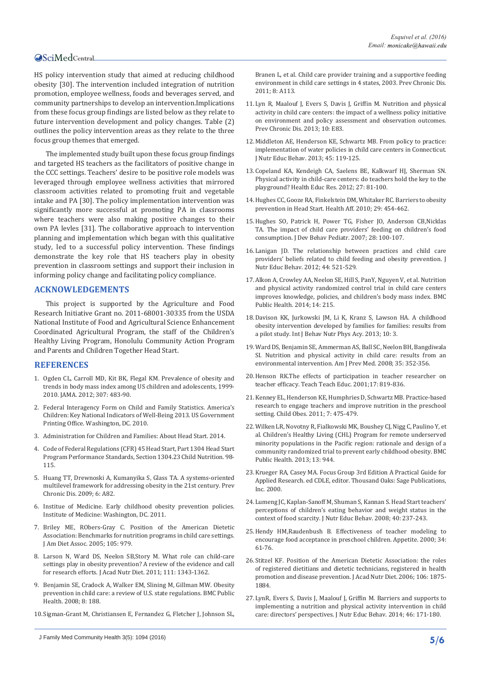# **OSciMedCentral**

HS policy intervention study that aimed at reducing childhood obesity [30]. The intervention included integration of nutrition promotion, employee wellness, foods and beverages served, and community partnerships to develop an intervention.Implications from these focus group findings are listed below as they relate to future intervention development and policy changes. Table (2) outlines the policy intervention areas as they relate to the three focus group themes that emerged.

The implemented study built upon these focus group findings and targeted HS teachers as the facilitators of positive change in the CCC settings. Teachers' desire to be positive role models was leveraged through employee wellness activities that mirrored classroom activities related to promoting fruit and vegetable intake and PA [30]. The policy implementation intervention was significantly more successful at promoting PA in classrooms where teachers were also making positive changes to their own PA levles [31]. The collaborative approach to intervention planning and implementation which began with this qualitative study, led to a successful policy intervention. These findings demonstrate the key role that HS teachers play in obesity prevention in classroom settings and support their inclusion in informing policy change and facilitating policy compliance.

### **ACKNOWLEDGEMENTS**

This project is supported by the Agriculture and Food Research Initiative Grant no. 2011-68001-30335 from the USDA National Institute of Food and Agricultural Science Enhancement Coordinated Agricultural Program, the staff of the Children's Healthy Living Program, Honolulu Community Action Program and Parents and Children Together Head Start.

#### **REFERENCES**

- 1. [Ogden CL, Carroll MD, Kit BK, Flegal KM. Prevalence of obesity and](https://www.ncbi.nlm.nih.gov/pubmed/22253364)  [trends in body mass index among US children and adolescents, 1999-](https://www.ncbi.nlm.nih.gov/pubmed/22253364) [2010. JAMA. 2012; 307: 483-90.](https://www.ncbi.nlm.nih.gov/pubmed/22253364)
- 2. [Federal Interagency Form on Child and Family Statistics. America's](http://www.childstats.gov/pdf/ac2015/ac_15.pdf)  [Children: Key National Indicators of Well-Being 2013. US Government](http://www.childstats.gov/pdf/ac2015/ac_15.pdf)  [Printing Office. Washington, DC. 2010.](http://www.childstats.gov/pdf/ac2015/ac_15.pdf)
- 3. [Administration for Children and Families: About Head Start. 2014.](http://www.acf.hhs.gov/ohs/about/head-start)
- 4. [Code of Federal Regulations \(CFR\) 45 Head Start, Part 1304 Head Start](https://www.law.cornell.edu/cfr/text/45/part-1304)  [Program Performance Standards, Section 1304.23 Child Nutrition. 98-](https://www.law.cornell.edu/cfr/text/45/part-1304) [115.](https://www.law.cornell.edu/cfr/text/45/part-1304)
- 5. [Huang TT, Drewnoski A, Kumanyika S, Glass TA. A systems-oriented](https://www.ncbi.nlm.nih.gov/pubmed/19527584)  [multilevel framework for addressing obesity in the 21st century. Prev](https://www.ncbi.nlm.nih.gov/pubmed/19527584)  [Chronic Dis. 2009; 6: A82.](https://www.ncbi.nlm.nih.gov/pubmed/19527584)
- 6. [Institue of Medicine. Early childhood obesity prevention policies.](https://www.nationalacademies.org/hmd/Reports/2011/Early-Childhood-Obesity-Prevention-Policies.aspx)  [Institute of Medicine: Washington, DC. 2011.](https://www.nationalacademies.org/hmd/Reports/2011/Early-Childhood-Obesity-Prevention-Policies.aspx)
- 7. [Briley ME, RObers-Gray C. Position of the American Dietetic](https://www.ncbi.nlm.nih.gov/pubmed/15942553)  [Association: Benchmarks for nutrition programs in child care settings.](https://www.ncbi.nlm.nih.gov/pubmed/15942553)  [J Am Diet Assoc. 2005; 105: 979.](https://www.ncbi.nlm.nih.gov/pubmed/15942553)
- 8. [Larson N, Ward DS, Neelon SB,Story M. What role can child-care](https://www.ncbi.nlm.nih.gov/pubmed/21872698)  [settings play in obesity prevention? A review of the evidence and call](https://www.ncbi.nlm.nih.gov/pubmed/21872698)  [for research efforts. J Acad Nutr Diet. 2011; 111: 1343-1362.](https://www.ncbi.nlm.nih.gov/pubmed/21872698)
- 9. [Benjamin SE, Cradock A, Walker EM, Slining M, Gillman MW. Obesity](https://www.ncbi.nlm.nih.gov/pubmed/18513424)  [prevention in child care: a review of U.S. state regulations. BMC Public](https://www.ncbi.nlm.nih.gov/pubmed/18513424)  [Health. 2008; 8: 188.](https://www.ncbi.nlm.nih.gov/pubmed/18513424)
- 10.[Sigman-Grant M, Christiansen E, Fernandez G, Fletcher J, Johnson SL,](https://www.ncbi.nlm.nih.gov/pubmed/21843416)

J Family Med Community Health 3(5): 1094 (2016) **5/6**

[Branen L, et al. Child care provider training and a supportive feeding](https://www.ncbi.nlm.nih.gov/pubmed/21843416)  [environment in child care settings in 4 states, 2003. Prev Chronic Dis.](https://www.ncbi.nlm.nih.gov/pubmed/21843416)  [2011; 8: A113.](https://www.ncbi.nlm.nih.gov/pubmed/21843416)

- 11.[Lyn R, Maalouf J, Evers S, Davis J, Griffin M. Nutrition and physical](https://www.ncbi.nlm.nih.gov/pmc/articles/PMC3670649/)  [activity in child care centers: the impact of a wellness policy initiative](https://www.ncbi.nlm.nih.gov/pmc/articles/PMC3670649/)  [on environment and policy assessment and observation outcomes.](https://www.ncbi.nlm.nih.gov/pmc/articles/PMC3670649/)  [Prev Chronic Dis. 2013; 10: E83.](https://www.ncbi.nlm.nih.gov/pmc/articles/PMC3670649/)
- 12.[Middleton AE, Henderson KE, Schwartz MB. From policy to practice:](https://www.ncbi.nlm.nih.gov/pubmed/23472930)  [implementation of water policies in child care centers in Connecticut.](https://www.ncbi.nlm.nih.gov/pubmed/23472930)  [J Nutr Educ Behav. 2013; 45: 119-125.](https://www.ncbi.nlm.nih.gov/pubmed/23472930)
- 13.[Copeland KA, Kendeigh CA, Saelens BE, Kalkwarf HJ, Sherman SN.](http://her.oxfordjournals.org/content/early/2011/07/29/her.cyr038)  [Physical activity in child-care centers: do teachers hold the key to the](http://her.oxfordjournals.org/content/early/2011/07/29/her.cyr038)  [playground? Health Educ Res. 2012; 27: 81-100.](http://her.oxfordjournals.org/content/early/2011/07/29/her.cyr038)
- 14.[Hughes CC, Gooze RA, Finkelstein DM, Whitaker RC. Barriers to obesity](https://www.ncbi.nlm.nih.gov/pubmed/20194987)  [prevention in Head Start. Health Aff. 2010; 29: 454-462.](https://www.ncbi.nlm.nih.gov/pubmed/20194987)
- 15.[Hughes SO, Patrick H, Power TG, Fisher JO, Anderson CB,Nicklas](https://www.ncbi.nlm.nih.gov/pubmed/17435460)  [TA. The impact of child care providers' feeding on children's food](https://www.ncbi.nlm.nih.gov/pubmed/17435460)  [consumption. J Dev Behav Pediatr. 2007; 28: 100-107](https://www.ncbi.nlm.nih.gov/pubmed/17435460).
- 16.[Lanigan JD. The relationship between practices and child care](https://www.ncbi.nlm.nih.gov/pubmed/22559927)  [providers' beliefs related to child feeding and obesity prevention. J](https://www.ncbi.nlm.nih.gov/pubmed/22559927)  [Nutr Educ Behav. 2012; 44: 521-529.](https://www.ncbi.nlm.nih.gov/pubmed/22559927)
- 17.[Alkon A, Crowley AA, Neelon SE, Hill S, PanY, Nguyen V, et al. Nutrition](http://bmcpublichealth.biomedcentral.com/articles/10.1186/1471-2458-14-215)  [and physical activity randomized control trial in child care centers](http://bmcpublichealth.biomedcentral.com/articles/10.1186/1471-2458-14-215)  [improves knowledge, policies, and children's body mass index. BMC](http://bmcpublichealth.biomedcentral.com/articles/10.1186/1471-2458-14-215)  [Public Health. 2014; 14: 215.](http://bmcpublichealth.biomedcentral.com/articles/10.1186/1471-2458-14-215)
- 18.[Davison KK, Jurkowski JM, Li K, Kranz S, Lawson HA. A childhood](https://www.ncbi.nlm.nih.gov/pubmed/23289970)  [obesity intervention developed by families for families: results from](https://www.ncbi.nlm.nih.gov/pubmed/23289970)  [a pilot study. Int J Behav Nutr Phys Acy. 2013; 10: 3.](https://www.ncbi.nlm.nih.gov/pubmed/23289970)
- 19.[Ward DS, Benjamin SE, Ammerman AS, Ball SC, Neelon BH, Bangdiwala](https://www.ncbi.nlm.nih.gov/pubmed/18701236)  [SI. Nutrition and physical activity in child care: results from an](https://www.ncbi.nlm.nih.gov/pubmed/18701236)  [environmental intervention. Am J Prev Med. 2008; 35: 352-356.](https://www.ncbi.nlm.nih.gov/pubmed/18701236)
- 20.[Henson RK.The effects of participation in teacher researcher on](http://www.sciencedirect.com/science/article/pii/S0742051X01000336)  [teacher efficacy. Teach Teach Educ. 2001;17: 819-836.](http://www.sciencedirect.com/science/article/pii/S0742051X01000336)
- 21.[Kenney EL, Henderson KE, Humphries D, Schwartz MB. Practice-based](https://www.deepdyve.com/lp/mary-ann-liebert/practice-based-research-to-engage-teachers-and-improve-nutrition-in-35guOCZz1R)  [research to engage teachers and improve nutrition in the preschool](https://www.deepdyve.com/lp/mary-ann-liebert/practice-based-research-to-engage-teachers-and-improve-nutrition-in-35guOCZz1R)  [setting. Child Obes. 2011; 7: 475-479.](https://www.deepdyve.com/lp/mary-ann-liebert/practice-based-research-to-engage-teachers-and-improve-nutrition-in-35guOCZz1R)
- 22.[Wilken LR, Novotny R, Fialkowski MK, Boushey CJ, Nigg C, Paulino Y, et](https://www.ncbi.nlm.nih.gov/pubmed/24107083)  [al. Children's Healthy Living \(CHL\) Program for remote underserved](https://www.ncbi.nlm.nih.gov/pubmed/24107083)  [minority populations in the Pacific region: rationale and design of a](https://www.ncbi.nlm.nih.gov/pubmed/24107083)  [community randomized trial to prevent early childhood obesity. BMC](https://www.ncbi.nlm.nih.gov/pubmed/24107083)  [Public Health. 2013; 13: 944.](https://www.ncbi.nlm.nih.gov/pubmed/24107083)
- 23.[Krueger RA, Casey MA. Focus Group 3rd Edition A Practical Guide for](https://www.amazon.com/Focus-Groups-Practical-Applied-Research/dp/1412969476)  [Applied Research. ed CDLE, editor. Thousand Oaks: Sage Publications,](https://www.amazon.com/Focus-Groups-Practical-Applied-Research/dp/1412969476)  [Inc. 2000.](https://www.amazon.com/Focus-Groups-Practical-Applied-Research/dp/1412969476)
- 24.[Lumeng JC, Kaplan-Sanoff M, Shuman S, Kannan S. Head Start teachers'](https://www.ncbi.nlm.nih.gov/pubmed/18565464)  [perceptions of children's eating behavior and weight status in the](https://www.ncbi.nlm.nih.gov/pubmed/18565464)  [context of food scarcity. J Nutr Educ Behav. 2008; 40: 237-243.](https://www.ncbi.nlm.nih.gov/pubmed/18565464)
- 25.[Hendy HM,Raudenbush B. Effectiveness of teacher modeling to](https://www.ncbi.nlm.nih.gov/pubmed/10744893)  [encourage food acceptance in preschool children. Appetite. 2000; 34:](https://www.ncbi.nlm.nih.gov/pubmed/10744893)  [61-76.](https://www.ncbi.nlm.nih.gov/pubmed/10744893)
- 26.[Stitzel KF. Position of the American Dietetic Association: the roles](https://www.ncbi.nlm.nih.gov/pubmed/17094215)  [of registered dietitians and dietetic technicians, registered in health](https://www.ncbi.nlm.nih.gov/pubmed/17094215)  [promotion and disease prevention. J Acad Nutr Diet. 2006; 106: 1875-](https://www.ncbi.nlm.nih.gov/pubmed/17094215) [1884.](https://www.ncbi.nlm.nih.gov/pubmed/17094215)
- 27.[LynR, Evers S, Davis J, Maalouf J, Griffin M. Barriers and supports to](https://www.ncbi.nlm.nih.gov/pubmed/24406269)  [implementing a nutrition and physical activity intervention in child](https://www.ncbi.nlm.nih.gov/pubmed/24406269)  [care: directors' perspectives. J Nutr Educ Behav. 2014; 46: 171-180.](https://www.ncbi.nlm.nih.gov/pubmed/24406269)